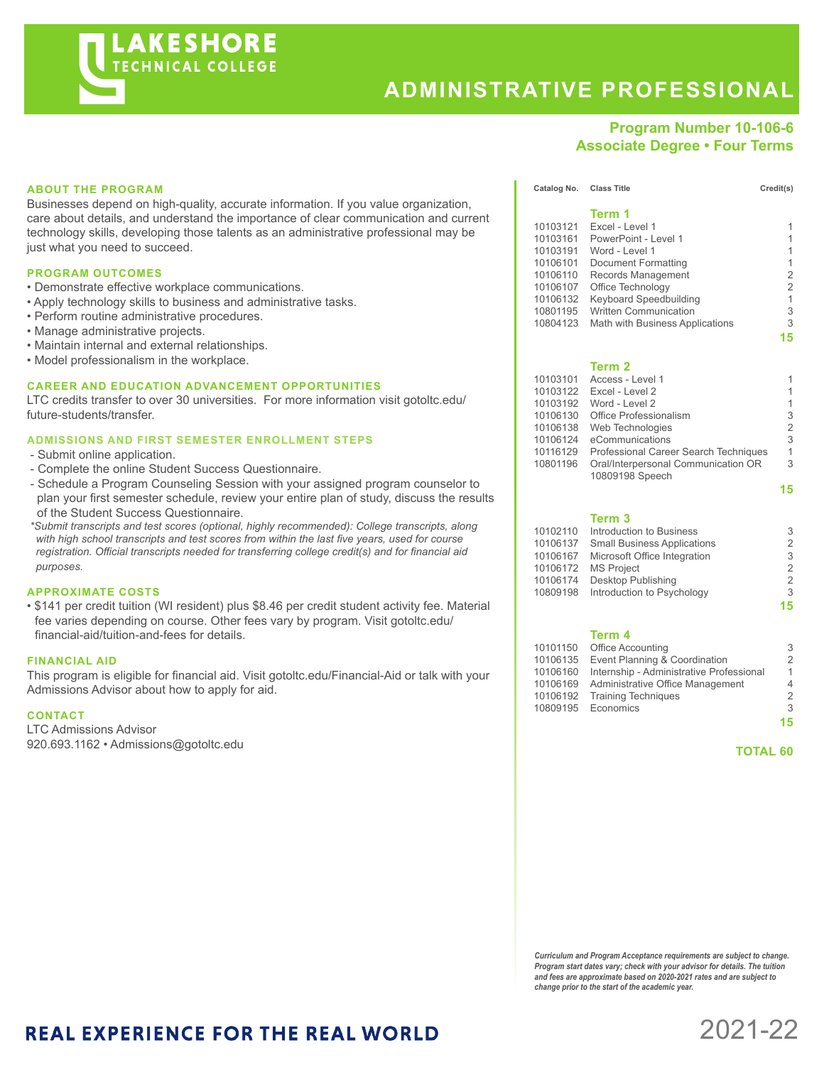

# **ADMINISTRATIVE PROFESSIONAL**

**Term 1**

# **Program Number 10-106-6 Associate Degree • Four Terms**

| <b>ABOUT THE PROGRAM</b> |
|--------------------------|
|--------------------------|

Businesses depend on high-quality, accurate information. If you value organization, care about details, and understand the importance of clear communication and current technology skills, developing those talents as an administrative professional may be just what you need to succeed.

#### **PROGRAM OUTCOMES**

- Demonstrate effective workplace communications.
- Apply technology skills to business and administrative tasks.
- Perform routine administrative procedures.
- Manage administrative projects.
- Maintain internal and external relationships.
- Model professionalism in the workplace.

## **CAREER AND EDUCATION ADVANCEMENT OPPORTUNITIES**

LTC credits transfer to over 30 universities. For more information visit gotoltc.edu/ future-students/transfer.

#### **ADMISSIONS AND FIRST SEMESTER ENROLLMENT STEPS**

- Submit online application.
- Complete the online Student Success Questionnaire.
- Schedule a Program Counseling Session with your assigned program counselor to plan your first semester schedule, review your entire plan of study, discuss the results of the Student Success Questionnaire.

 *\*Submit transcripts and test scores (optional, highly recommended): College transcripts, along with high school transcripts and test scores from within the last five years, used for course registration. Official transcripts needed for transferring college credit(s) and for financial aid purposes.*

### **APPROXIMATE COSTS**

• \$141 per credit tuition (WI resident) plus \$8.46 per credit student activity fee. Material fee varies depending on course. Other fees vary by program. Visit gotoltc.edu/ financial-aid/tuition-and-fees for details.

#### **FINANCIAL AID**

This program is eligible for financial aid. Visit gotoltc.edu/Financial-Aid or talk with your Admissions Advisor about how to apply for aid.

## **CONTACT**

LTC Admissions Advisor 920.693.1162 • Admissions@gotoltc.edu

| 10103121 | Excel - Level 1                       | 1              |
|----------|---------------------------------------|----------------|
| 10103161 | PowerPoint - Level 1                  | 1              |
| 10103191 | Word - Level 1                        | 1              |
| 10106101 | Document Formatting                   | 1              |
| 10106110 | Records Management                    | 2              |
| 10106107 | Office Technology                     | $\overline{2}$ |
| 10106132 | Keyboard Speedbuilding                | 1              |
| 10801195 | <b>Written Communication</b>          | 3              |
| 10804123 | Math with Business Applications       | 3              |
|          |                                       | 15             |
|          | Term 2                                |                |
| 10103101 | Access - Level 1                      | 1              |
| 10103122 | Excel - Level 2                       | 1              |
| 10103192 | Word - Level 2                        | 1              |
| 10106130 | Office Professionalism                | 3              |
| 10106138 | Web Technologies                      | $\overline{2}$ |
| 10106124 | eCommunications                       | 3              |
| 10116129 | Professional Career Search Techniques |                |

10801196 Oral/Interpersonal Communication OR 3

Catalog No. Class Title Credit(s)

# 10809198 Speech **15**

|          | Term 3                             |                |
|----------|------------------------------------|----------------|
| 10102110 | Introduction to Business           | 3              |
| 10106137 | <b>Small Business Applications</b> | $\overline{2}$ |
| 10106167 | Microsoft Office Integration       | 3              |
| 10106172 | <b>MS Project</b>                  | $\overline{2}$ |
| 10106174 | Desktop Publishing                 | $\overline{2}$ |
| 10809198 | Introduction to Psychology         | 3              |
|          |                                    | 15             |
|          |                                    |                |

#### **Term 4**

|          | 10101150 Office Accounting                        | 3             |
|----------|---------------------------------------------------|---------------|
|          | 10106135 Event Planning & Coordination            | 2             |
|          | 10106160 Internship - Administrative Professional | 1             |
| 10106169 | Administrative Office Management                  | 4             |
|          | 10106192 Training Techniques                      | $\mathcal{P}$ |
|          | 10809195 Economics                                | 3             |
|          |                                                   | 15            |

 **TOTAL 60**

*Curriculum and Program Acceptance requirements are subject to change. Program start dates vary; check with your advisor for details. The tuition and fees are approximate based on 2020-2021 rates and are subject to change prior to the start of the academic year.*